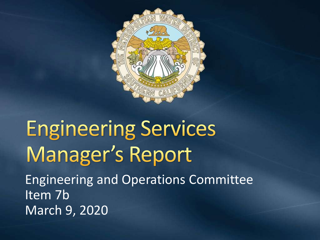

# **Engineering Services** Manager's Report Engineering and Operations Committee Item 7b March 9, 2020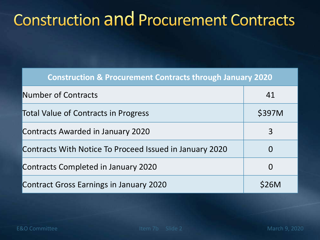### **Construction and Procurement Contracts**

| <b>Construction &amp; Procurement Contracts through January 2020</b> |          |
|----------------------------------------------------------------------|----------|
| <b>Number of Contracts</b>                                           | 41       |
| <b>Total Value of Contracts in Progress</b>                          | \$397M   |
| <b>Contracts Awarded in January 2020</b>                             | 3        |
| Contracts With Notice To Proceed Issued in January 2020              | $\Omega$ |
| Contracts Completed in January 2020                                  | 0        |
| <b>Contract Gross Earnings in January 2020</b>                       | S26M     |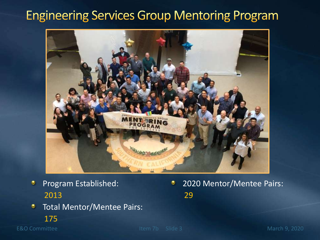#### **Engineering Services Group Mentoring Program**



Program Established:  $\bullet$ 2013

2020 Mentor/Mentee Pairs: ۰ 29

- Total Mentor/Mentee Pairs: ۰
	- 175

E&O Committee Item 7b Slide 3 March 9, 2020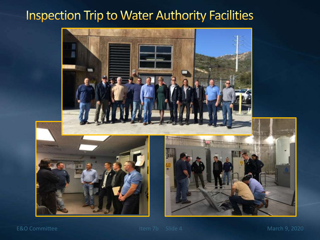#### **Inspection Trip to Water Authority Facilities**



E&O Committee Item 7b Slide 4 March 9, 2020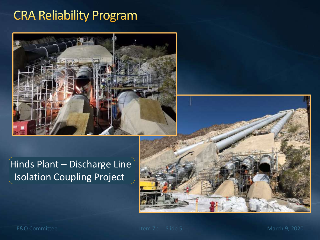### **CRA Reliability Program**



#### Hinds Plant – Discharge Line Isolation Coupling Project

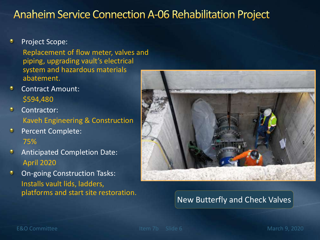#### **Anaheim Service Connection A-06 Rehabilitation Project**

۰ Project Scope:

> Replacement of flow meter, valves and piping, upgrading vault's electrical system and hazardous materials abatement.

- ۰ Contract Amount: \$594,480
- $\bullet$ Contractor: Kaveh Engineering & Construction
- O. Percent Complete: 75%
- $\bullet$ Anticipated Completion Date: April 2020
- On-going Construction Tasks: ۰ Installs vault lids, ladders, platforms and start site restoration.



#### New Butterfly and Check Valves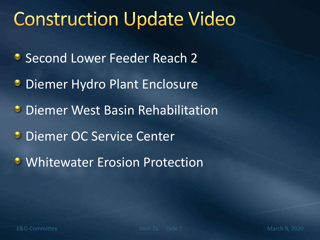# **Construction Update Video**

- **Second Lower Feeder Reach 2**
- **Diemer Hydro Plant Enclosure**
- **Diemer West Basin Rehabilitation**
- **Diemer OC Service Center**
- **Whitewater Erosion Protection**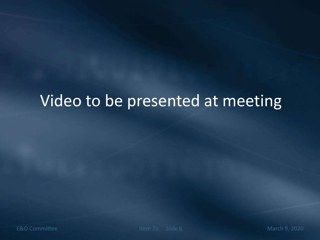### Video to be presented at meeting